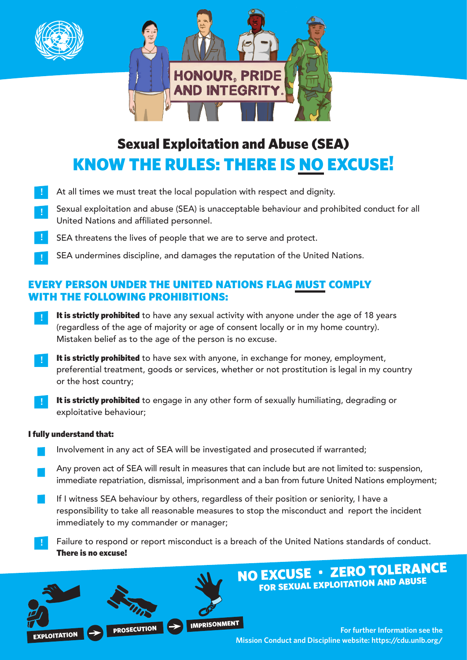



# Sexual Exploitation and Abuse (SEA) KNOW THE RULES: THERE IS NO EXCUSE!

- At all times we must treat the local population with respect and dignity. **!**
- Sexual exploitation and abuse (SEA) is unacceptable behaviour and prohibited conduct for all United Nations and affiliated personnel. **!**
- SEA threatens the lives of people that we are to serve and protect. **!**
- SEA undermines discipline, and damages the reputation of the United Nations. **!**

## EVERY PERSON UNDER THE UNITED NATIONS FLAG MUST COMPLY WITH THE FOLLOWING PROHIBITIONS:

- It is strictly prohibited to have any sexual activity with anyone under the age of 18 years (regardless of the age of majority or age of consent locally or in my home country). Mistaken belief as to the age of the person is no excuse. **!**
- It is strictly prohibited to have sex with anyone, in exchange for money, employment, preferential treatment, goods or services, whether or not prostitution is legal in my country or the host country; **!**
- It is strictly prohibited to engage in any other form of sexually humiliating, degrading or exploitative behaviour; **!**

### I fully understand that:

- Involvement in any act of SEA will be investigated and prosecuted if warranted;
- Any proven act of SEA will result in measures that can include but are not limited to: suspension, immediate repatriation, dismissal, imprisonment and a ban from future United Nations employment;
- If I witness SEA behaviour by others, regardless of their position or seniority, I have a responsibility to take all reasonable measures to stop the misconduct and report the incident immediately to my commander or manager;
- Failure to respond or report misconduct is a breach of the United Nations standards of conduct. There is no excuse! **!**



NO EXCUSE • ZERO TOLERANCE FOR SEXUAL EXPLOITATION AND ABUSE